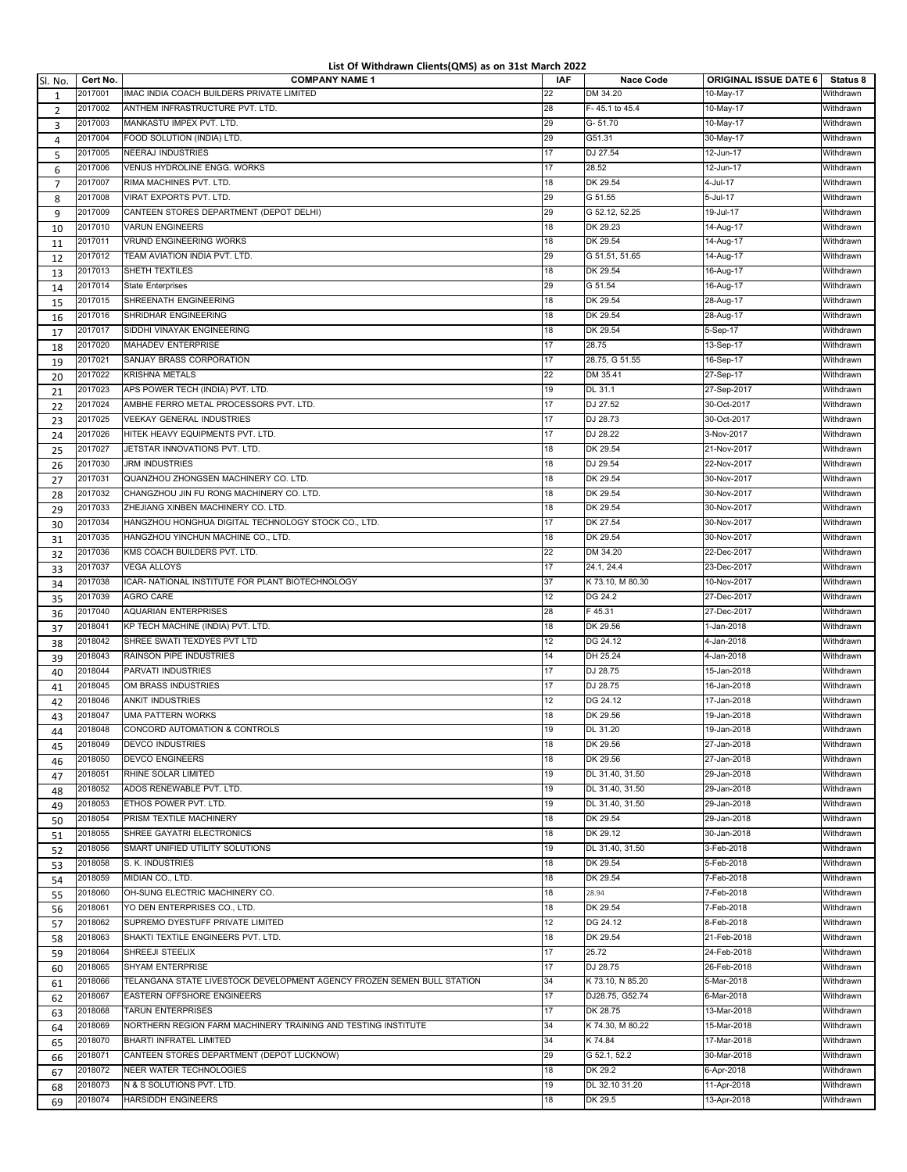## **List Of Withdrawn Clients(QMS) as on 31st March 2022**

| Sl. No.        | Cert No.           | <b>COMPANY NAME 1</b>                                                  | <b>IAF</b> | <b>Nace Code</b>                   | <b>ORIGINAL ISSUE DATE 6</b> | Status 8  |
|----------------|--------------------|------------------------------------------------------------------------|------------|------------------------------------|------------------------------|-----------|
| 1              | 2017001            | IMAC INDIA COACH BUILDERS PRIVATE LIMITED                              | 22         | DM 34.20                           | 10-May-17                    | Withdrawn |
| $\overline{2}$ | 2017002            | ANTHEM INFRASTRUCTURE PVT. LTD.                                        | 28         | F-45.1 to 45.4                     | 10-May-17                    | Withdrawn |
| 3              | 2017003            | MANKASTU IMPEX PVT. LTD.                                               | 29         | $G - 51.70$                        | 10-May-17                    | Withdrawn |
| 4              | 2017004            | FOOD SOLUTION (INDIA) LTD.                                             | 29         | G51.31                             | 30-May-17                    | Withdrawn |
| 5              | 2017005            | <b>NEERAJ INDUSTRIES</b>                                               | 17         | DJ 27.54                           | 12-Jun-17                    | Withdrawn |
| 6              | 2017006            | VENUS HYDROLINE ENGG. WORKS                                            | 17         | 28.52                              | $12 - Jun-17$                | Withdrawn |
| $\overline{7}$ | 2017007            | RIMA MACHINES PVT. LTD.                                                | 18         | DK 29.54                           | 4-Jul-17                     | Withdrawn |
| 8              | 2017008            | VIRAT EXPORTS PVT. LTD.                                                | 29         | G 51.55                            | 5-Jul-17                     | Withdrawn |
| 9              | 2017009            | CANTEEN STORES DEPARTMENT (DEPOT DELHI)                                | 29         | G 52.12, 52.25                     | 19-Jul-17                    | Withdrawn |
| 10             | 2017010            | <b>VARUN ENGINEERS</b>                                                 | 18         | DK 29.23                           | 14-Aug-17                    | Withdrawn |
| 11             | 2017011            | VRUND ENGINEERING WORKS                                                | 18         | DK 29.54                           | 14-Aug-17                    | Withdrawn |
| 12             | 2017012            | TEAM AVIATION INDIA PVT. LTD.                                          | 29         | G 51.51, 51.65                     | 14-Aug-17                    | Withdrawn |
| 13             | 2017013            | SHETH TEXTILES                                                         | 18         | DK 29.54                           | 16-Aug-17                    | Withdrawn |
| 14             | 2017014            | <b>State Enterprises</b>                                               | 29         | G 51.54                            | 16-Aug-17                    | Withdrawn |
| 15             | 2017015            | SHREENATH ENGINEERING                                                  | 18         | DK 29.54                           | 28-Aug-17                    | Withdrawn |
| 16             | 2017016            | SHRIDHAR ENGINEERING                                                   | 18         | DK 29.54                           | 28-Aug-17                    | Withdrawn |
| 17             | 2017017            | SIDDHI VINAYAK ENGINEERING                                             | 18         | DK 29.54                           | 5-Sep-17                     | Withdrawn |
| 18             | 2017020            | MAHADEV ENTERPRISE                                                     | 17         | 28.75                              | 13-Sep-17                    | Withdrawn |
| 19             | 2017021            | SANJAY BRASS CORPORATION                                               | 17         | 28.75, G 51.55                     | 16-Sep-17                    | Withdrawn |
| 20             | 2017022            | KRISHNA METALS                                                         | 22         | DM 35.41                           | 27-Sep-17                    | Withdrawn |
| 21             | 2017023            | APS POWER TECH (INDIA) PVT. LTD.                                       | 19         | DL 31.1                            | 27-Sep-2017                  | Withdrawn |
| 22             | 2017024            | AMBHE FERRO METAL PROCESSORS PVT. LTD.                                 | 17         | DJ 27.52                           | 30-Oct-2017                  | Withdrawn |
| 23             | 2017025            | VEEKAY GENERAL INDUSTRIES                                              | 17         | DJ 28.73                           | 30-Oct-2017                  | Withdrawn |
| 24             | 2017026            | HITEK HEAVY EQUIPMENTS PVT. LTD.                                       | 17         | DJ 28.22                           | 3-Nov-2017                   | Withdrawn |
| 25             | 2017027            | JETSTAR INNOVATIONS PVT. LTD.                                          | 18         | DK 29.54                           | 21-Nov-2017                  | Withdrawn |
| 26             | 2017030            | <b>JRM INDUSTRIES</b>                                                  | 18         | DJ 29.54                           | 22-Nov-2017                  | Withdrawn |
| 27             | 2017031            | QUANZHOU ZHONGSEN MACHINERY CO. LTD.                                   | 18         | DK 29.54                           | 30-Nov-2017                  | Withdrawn |
|                | 2017032            | CHANGZHOU JIN FU RONG MACHINERY CO. LTD.                               | 18         | DK 29.54                           | 30-Nov-2017                  | Withdrawn |
| 28             | 2017033            | ZHEJIANG XINBEN MACHINERY CO. LTD.                                     | 18         | DK 29.54                           | 30-Nov-2017                  | Withdrawn |
| 29             | 2017034            | HANGZHOU HONGHUA DIGITAL TECHNOLOGY STOCK CO., LTD.                    | 17         | DK 27.54                           | 30-Nov-2017                  | Withdrawn |
| 30             | 2017035            | HANGZHOU YINCHUN MACHINE CO., LTD.                                     | 18         | DK 29.54                           | 30-Nov-2017                  | Withdrawn |
| 31             | 2017036            | KMS COACH BUILDERS PVT. LTD.                                           | 22         | DM 34.20                           | 22-Dec-2017                  | Withdrawn |
| 32             | 2017037            | <b>VEGA ALLOYS</b>                                                     | 17         | 24.1, 24.4                         | 23-Dec-2017                  | Withdrawn |
| 33             | 2017038            | ICAR- NATIONAL INSTITUTE FOR PLANT BIOTECHNOLOGY                       | 37         | K 73.10, M 80.30                   | 10-Nov-2017                  | Withdrawn |
| 34             | 2017039            | <b>AGRO CARE</b>                                                       | 12         | DG 24.2                            | 27-Dec-2017                  | Withdrawn |
| 35             | 2017040            | AQUARIAN ENTERPRISES                                                   | 28         | F45.31                             | 27-Dec-2017                  | Withdrawn |
| 36             | 2018041            | KP TECH MACHINE (INDIA) PVT. LTD.                                      | 18         | DK 29.56                           | 1-Jan-2018                   | Withdrawn |
| 37             | 2018042            | SHREE SWATI TEXDYES PVT LTD                                            | 12         | DG 24.12                           | 4-Jan-2018                   | Withdrawn |
| 38             | 2018043            | RAINSON PIPE INDUSTRIES                                                | 14         | DH 25.24                           | 4-Jan-2018                   | Withdrawn |
| 39             | 2018044            | PARVATI INDUSTRIES                                                     | 17         | DJ 28.75                           | 15-Jan-2018                  | Withdrawn |
| 40             | 2018045            | OM BRASS INDUSTRIES                                                    | 17         | DJ 28.75                           | 16-Jan-2018                  | Withdrawn |
| 41             | 2018046            | <b>ANKIT INDUSTRIES</b>                                                | 12         | DG 24.12                           | 17-Jan-2018                  | Withdrawn |
| 42             | 2018047            | <b>UMA PATTERN WORKS</b>                                               | 18         | DK 29.56                           | 19-Jan-2018                  | Withdrawn |
| 43             | 2018048            | CONCORD AUTOMATION & CONTROLS                                          | 19         | DL 31.20                           | 19-Jan-2018                  | Withdrawn |
| 44             | 2018049            | <b>DEVCO INDUSTRIES</b>                                                | 18         | DK 29.56                           | 27-Jan-2018                  |           |
| 45             |                    |                                                                        | 18         | DK 29.56                           |                              | Withdrawn |
| 46             | 2018050            | <b>DEVCO ENGINEERS</b>                                                 |            |                                    | 27-Jan-2018                  | Withdrawn |
| 47             | 2018051<br>2018052 | RHINE SOLAR LIMITED                                                    | 19<br>19   | DL 31.40, 31.50                    | 29-Jan-2018                  | Withdrawn |
| 48             |                    | ADOS RENEWABLE PVT. LTD.<br>ETHOS POWER PVT. LTD.                      |            | DL 31.40, 31.50<br>DL 31.40, 31.50 | 29-Jan-2018                  | Withdrawn |
| 49             | 2018053            |                                                                        | 19         |                                    | 29-Jan-2018                  | Withdrawn |
| 50             | 2018054            | PRISM TEXTILE MACHINERY<br>SHREE GAYATRI ELECTRONICS                   | 18         | DK 29.54<br>DK 29.12               | 29-Jan-2018                  | Withdrawn |
| 51             | 2018055            |                                                                        | 18         |                                    | 30-Jan-2018                  | Withdrawn |
| 52             | 2018056            | SMART UNIFIED UTILITY SOLUTIONS                                        | 19         | DL 31.40, 31.50                    | 3-Feb-2018                   | Withdrawn |
| 53             | 2018058            | S. K. INDUSTRIES                                                       | 18         | DK 29.54<br>DK 29.54               | 5-Feb-2018                   | Withdrawn |
| 54             | 2018059            | MIDIAN CO., LTD.                                                       | 18         |                                    | 7-Feb-2018                   | Withdrawn |
| 55             | 2018060            | OH-SUNG ELECTRIC MACHINERY CO.                                         | 18         | 28.94                              | 7-Feb-2018                   | Withdrawn |
| 56             | 2018061            | YO DEN ENTERPRISES CO., LTD.                                           | 18         | DK 29.54                           | 7-Feb-2018                   | Withdrawn |
| 57             | 2018062            | SUPREMO DYESTUFF PRIVATE LIMITED                                       | 12         | DG 24.12                           | 8-Feb-2018                   | Withdrawn |
| 58             | 2018063            | SHAKTI TEXTILE ENGINEERS PVT. LTD.                                     | 18         | DK 29.54                           | 21-Feb-2018                  | Withdrawn |
| 59             | 2018064            | SHREEJI STEELIX                                                        | 17         | 25.72                              | 24-Feb-2018                  | Withdrawn |
| 60             | 2018065            | SHYAM ENTERPRISE                                                       | 17         | DJ 28.75                           | 26-Feb-2018                  | Withdrawn |
| 61             | 2018066            | TELANGANA STATE LIVESTOCK DEVELOPMENT AGENCY FROZEN SEMEN BULL STATION | 34         | K 73.10, N 85.20                   | 5-Mar-2018                   | Withdrawn |
| 62             | 2018067            | EASTERN OFFSHORE ENGINEERS                                             | 17         | DJ28.75, G52.74                    | 6-Mar-2018                   | Withdrawn |
| 63             | 2018068            | <b>TARUN ENTERPRISES</b>                                               | 17         | DK 28.75                           | 13-Mar-2018                  | Withdrawn |
| 64             | 2018069            | NORTHERN REGION FARM MACHINERY TRAINING AND TESTING INSTITUTE          | 34         | K 74.30, M 80.22                   | 15-Mar-2018                  | Withdrawn |
| 65             | 2018070            | BHARTI INFRATEL LIMITED                                                | 34         | K 74.84                            | 17-Mar-2018                  | Withdrawn |
| 66             | 2018071            | CANTEEN STORES DEPARTMENT (DEPOT LUCKNOW)                              | 29         | G 52.1, 52.2                       | 30-Mar-2018                  | Withdrawn |
| 67             | 2018072            | NEER WATER TECHNOLOGIES                                                | 18         | DK 29.2                            | 6-Apr-2018                   | Withdrawn |
| 68             | 2018073            | N & S SOLUTIONS PVT. LTD.                                              | 19         | DL 32.10 31.20                     | 11-Apr-2018                  | Withdrawn |
| 69             | 2018074            | <b>HARSIDDH ENGINEERS</b>                                              | 18         | DK 29.5                            | 13-Apr-2018                  | Withdrawn |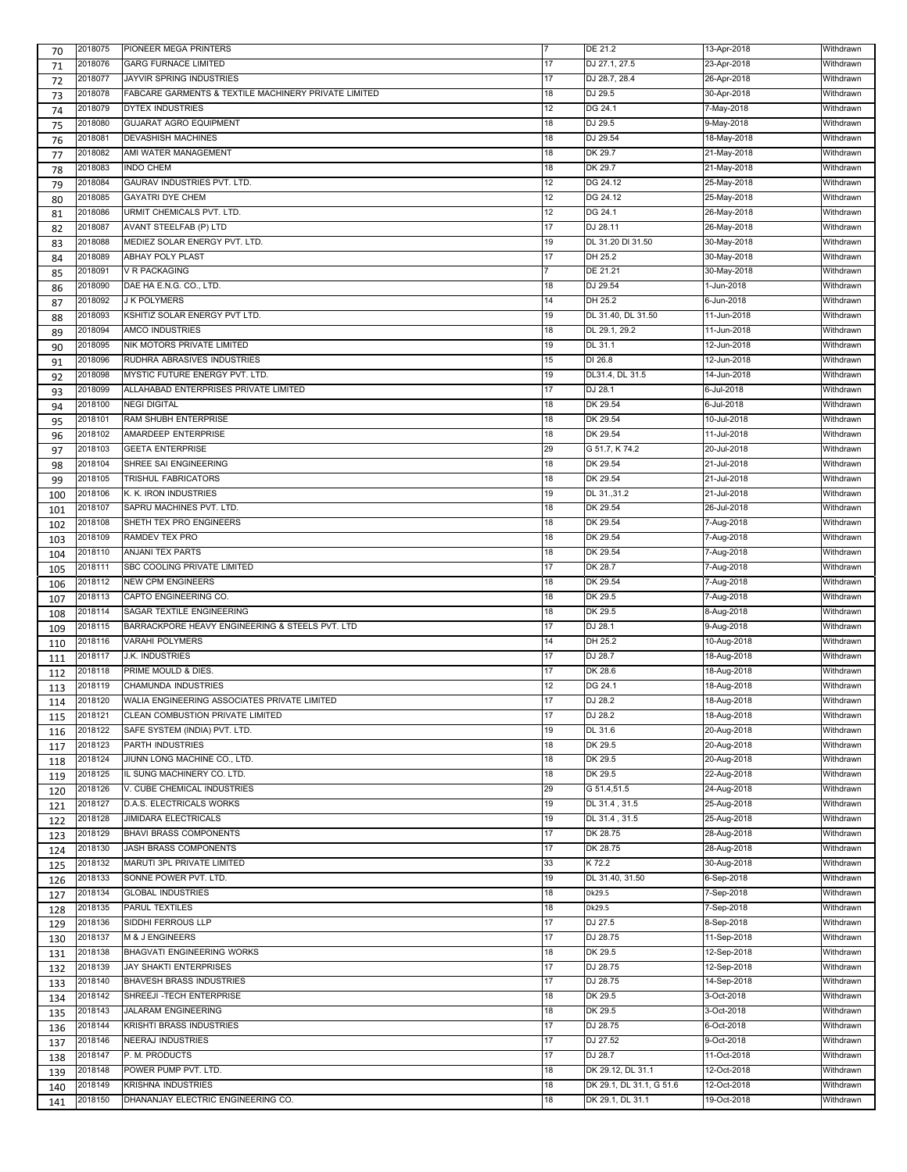| 70  | 2018075 | PIONEER MEGA PRINTERS                                |    | DE 21.2                  | 13-Apr-2018 | Withdrawn |
|-----|---------|------------------------------------------------------|----|--------------------------|-------------|-----------|
| 71  | 2018076 | <b>GARG FURNACE LIMITED</b>                          | 17 | DJ 27.1, 27.5            | 23-Apr-2018 | Withdrawn |
| 72  | 2018077 | JAYVIR SPRING INDUSTRIES                             | 17 | DJ 28.7, 28.4            | 26-Apr-2018 | Withdrawn |
| 73  | 2018078 | FABCARE GARMENTS & TEXTILE MACHINERY PRIVATE LIMITED | 18 | DJ 29.5                  | 30-Apr-2018 | Withdrawn |
| 74  | 2018079 | <b>DYTEX INDUSTRIES</b>                              | 12 | DG 24.1                  | 7-May-2018  | Withdrawn |
| 75  | 2018080 | <b>GUJARAT AGRO EQUIPMENT</b>                        | 18 | DJ 29.5                  | 9-May-2018  | Withdrawn |
|     | 2018081 | <b>DEVASHISH MACHINES</b>                            | 18 | DJ 29.54                 | 18-May-2018 | Withdrawn |
| 76  |         | AMI WATER MANAGEMENT                                 |    |                          |             |           |
| 77  | 2018082 |                                                      | 18 | DK 29.7                  | 21-May-2018 | Withdrawn |
| 78  | 2018083 | <b>INDO CHEM</b>                                     | 18 | DK 29.7                  | 21-May-2018 | Withdrawn |
| 79  | 2018084 | GAURAV INDUSTRIES PVT. LTD.                          | 12 | DG 24.12                 | 25-May-2018 | Withdrawn |
| 80  | 2018085 | <b>GAYATRI DYE CHEM</b>                              | 12 | DG 24.12                 | 25-May-2018 | Withdrawn |
| 81  | 2018086 | URMIT CHEMICALS PVT. LTD.                            | 12 | DG 24.1                  | 26-May-2018 | Withdrawn |
| 82  | 2018087 | AVANT STEELFAB (P) LTD                               | 17 | DJ 28.11                 | 26-May-2018 | Withdrawn |
| 83  | 2018088 | MEDIEZ SOLAR ENERGY PVT. LTD.                        | 19 | DL 31.20 DI 31.50        | 30-May-2018 | Withdrawn |
| 84  | 2018089 | <b>ABHAY POLY PLAST</b>                              | 17 | DH 25.2                  | 30-May-2018 | Withdrawn |
| 85  | 2018091 | <b>V R PACKAGING</b>                                 |    | DE 21.21                 | 30-May-2018 | Withdrawn |
| 86  | 2018090 | DAE HA E.N.G. CO., LTD.                              | 18 | DJ 29.54                 | 1-Jun-2018  | Withdrawn |
|     | 2018092 | <b>J K POLYMERS</b>                                  | 14 | DH 25.2                  | 6-Jun-2018  | Withdrawn |
| 87  |         |                                                      | 19 | DL 31.40, DL 31.50       |             |           |
| 88  | 2018093 | KSHITIZ SOLAR ENERGY PVT LTD.                        |    |                          | 11-Jun-2018 | Withdrawn |
| 89  | 2018094 | AMCO INDUSTRIES                                      | 18 | DL 29.1, 29.2            | 11-Jun-2018 | Withdrawn |
| 90  | 2018095 | NIK MOTORS PRIVATE LIMITED                           | 19 | DL 31.1                  | 12-Jun-2018 | Withdrawn |
| 91  | 2018096 | RUDHRA ABRASIVES INDUSTRIES                          | 15 | DI 26.8                  | 12-Jun-2018 | Withdrawn |
| 92  | 2018098 | MYSTIC FUTURE ENERGY PVT. LTD.                       | 19 | DL31.4, DL 31.5          | 14-Jun-2018 | Withdrawn |
| 93  | 2018099 | ALLAHABAD ENTERPRISES PRIVATE LIMITED                | 17 | DJ 28.1                  | 6-Jul-2018  | Withdrawn |
| 94  | 2018100 | <b>NEGI DIGITAL</b>                                  | 18 | DK 29.54                 | 6-Jul-2018  | Withdrawn |
|     | 2018101 | RAM SHUBH ENTERPRISE                                 | 18 | DK 29.54                 | 10-Jul-2018 | Withdrawn |
| 95  | 2018102 | AMARDEEP ENTERPRISE                                  | 18 | DK 29.54                 | 11-Jul-2018 | Withdrawn |
| 96  |         |                                                      |    |                          |             |           |
| 97  | 2018103 | <b>GEETA ENTERPRISE</b>                              | 29 | G 51.7, K 74.2           | 20-Jul-2018 | Withdrawn |
| 98  | 2018104 | SHREE SAI ENGINEERING                                | 18 | DK 29.54                 | 21-Jul-2018 | Withdrawn |
| 99  | 2018105 | TRISHUL FABRICATORS                                  | 18 | DK 29.54                 | 21-Jul-2018 | Withdrawn |
| 100 | 2018106 | K. K. IRON INDUSTRIES                                | 19 | DL 31.,31.2              | 21-Jul-2018 | Withdrawn |
| 101 | 2018107 | SAPRU MACHINES PVT. LTD.                             | 18 | DK 29.54                 | 26-Jul-2018 | Withdrawn |
| 102 | 2018108 | SHETH TEX PRO ENGINEERS                              | 18 | DK 29.54                 | 7-Aug-2018  | Withdrawn |
|     | 2018109 | RAMDEV TEX PRO                                       | 18 | DK 29.54                 | 7-Aug-2018  | Withdrawn |
| 103 |         |                                                      |    |                          |             |           |
| 104 | 2018110 | <b>ANJANI TEX PARTS</b>                              | 18 | DK 29.54                 | 7-Aug-2018  | Withdrawn |
| 105 | 2018111 | SBC COOLING PRIVATE LIMITED                          | 17 | DK 28.7                  | 7-Aug-2018  | Withdrawn |
| 106 | 2018112 | <b>NEW CPM ENGINEERS</b>                             | 18 | DK 29.54                 | 7-Aug-2018  | Withdrawn |
| 107 | 2018113 | CAPTO ENGINEERING CO.                                | 18 | DK 29.5                  | 7-Aug-2018  | Withdrawn |
| 108 | 2018114 | SAGAR TEXTILE ENGINEERING                            | 18 | DK 29.5                  | 8-Aug-2018  | Withdrawn |
| 109 | 2018115 | BARRACKPORE HEAVY ENGINEERING & STEELS PVT. LTD      | 17 | DJ 28.1                  | 9-Aug-2018  | Withdrawn |
| 110 | 2018116 | VARAHI POLYMERS                                      | 14 | DH 25.2                  | 10-Aug-2018 | Withdrawn |
| 111 | 2018117 | <b>J.K. INDUSTRIES</b>                               | 17 | DJ 28.7                  | 18-Aug-2018 | Withdrawn |
|     | 2018118 | PRIME MOULD & DIES.                                  | 17 | DK 28.6                  | 18-Aug-2018 | Withdrawn |
| 112 |         | CHAMUNDA INDUSTRIES                                  |    |                          |             |           |
| 113 | 2018119 |                                                      | 12 | DG 24.1                  | 18-Aug-2018 | Withdrawn |
| 114 | 2018120 | WALIA ENGINEERING ASSOCIATES PRIVATE LIMITED         | 17 | DJ 28.2                  | 18-Aug-2018 | Withdrawn |
| 115 | 2018121 | CLEAN COMBUSTION PRIVATE LIMITED                     | 17 | DJ 28.2                  | 18-Aug-2018 | Withdrawn |
| 116 | 2018122 | SAFE SYSTEM (INDIA) PVT. LTD.                        | 19 | DL 31.6                  | 20-Aug-2018 | Withdrawn |
| 117 | 2018123 | PARTH INDUSTRIES                                     | 18 | DK 29.5                  | 20-Aug-2018 | Withdrawn |
| 118 | 2018124 | JIUNN LONG MACHINE CO., LTD.                         | 18 | DK 29.5                  | 20-Aug-2018 | Withdrawn |
| 119 | 2018125 | IL SUNG MACHINERY CO. LTD.                           | 18 | DK 29.5                  | 22-Aug-2018 | Withdrawn |
| 120 | 2018126 | V. CUBE CHEMICAL INDUSTRIES                          | 29 | G 51.4,51.5              | 24-Aug-2018 | Withdrawn |
|     | 2018127 | D.A.S. ELECTRICALS WORKS                             | 19 | DL 31.4, 31.5            | 25-Aug-2018 | Withdrawn |
| 121 | 2018128 | JIMIDARA ELECTRICALS                                 | 19 | DL 31.4, 31.5            | 25-Aug-2018 | Withdrawn |
| 122 |         |                                                      |    |                          |             |           |
| 123 | 2018129 | <b>BHAVI BRASS COMPONENTS</b>                        | 17 | DK 28.75                 | 28-Aug-2018 | Withdrawn |
| 124 | 2018130 | JASH BRASS COMPONENTS                                | 17 | DK 28.75                 | 28-Aug-2018 | Withdrawn |
| 125 | 2018132 | MARUTI 3PL PRIVATE LIMITED                           | 33 | K 72.2                   | 30-Aug-2018 | Withdrawn |
| 126 | 2018133 | SONNE POWER PVT. LTD.                                | 19 | DL 31.40, 31.50          | 6-Sep-2018  | Withdrawn |
| 127 | 2018134 | <b>GLOBAL INDUSTRIES</b>                             | 18 | Dk29.5                   | 7-Sep-2018  | Withdrawn |
| 128 | 2018135 | PARUL TEXTILES                                       | 18 | Dk29.5                   | 7-Sep-2018  | Withdrawn |
| 129 | 2018136 | SIDDHI FERROUS LLP                                   | 17 | DJ 27.5                  | 8-Sep-2018  | Withdrawn |
|     | 2018137 | M & J ENGINEERS                                      | 17 | DJ 28.75                 | 11-Sep-2018 | Withdrawn |
| 130 |         |                                                      |    |                          |             |           |
| 131 | 2018138 | <b>BHAGVATI ENGINEERING WORKS</b>                    | 18 | DK 29.5                  | 12-Sep-2018 | Withdrawn |
| 132 | 2018139 | <b>JAY SHAKTI ENTERPRISES</b>                        | 17 | DJ 28.75                 | 12-Sep-2018 | Withdrawn |
| 133 | 2018140 | <b>BHAVESH BRASS INDUSTRIES</b>                      | 17 | DJ 28.75                 | 14-Sep-2018 | Withdrawn |
| 134 | 2018142 | SHREEJI - TECH ENTERPRISE                            | 18 | DK 29.5                  | 3-Oct-2018  | Withdrawn |
| 135 | 2018143 | <b>JALARAM ENGINEERING</b>                           | 18 | DK 29.5                  | 3-Oct-2018  | Withdrawn |
| 136 | 2018144 | KRISHTI BRASS INDUSTRIES                             | 17 | DJ 28.75                 | 6-Oct-2018  | Withdrawn |
| 137 | 2018146 | <b>NEERAJ INDUSTRIES</b>                             | 17 | DJ 27.52                 | 9-Oct-2018  | Withdrawn |
|     | 2018147 | P. M. PRODUCTS                                       | 17 | DJ 28.7                  | 11-Oct-2018 | Withdrawn |
| 138 | 2018148 | POWER PUMP PVT. LTD.                                 | 18 | DK 29.12, DL 31.1        |             |           |
| 139 |         |                                                      |    |                          | 12-Oct-2018 | Withdrawn |
| 140 | 2018149 | KRISHNA INDUSTRIES                                   | 18 | DK 29.1, DL 31.1, G 51.6 | 12-Oct-2018 | Withdrawn |
| 141 | 2018150 | DHANANJAY ELECTRIC ENGINEERING CO.                   | 18 | DK 29.1, DL 31.1         | 19-Oct-2018 | Withdrawn |